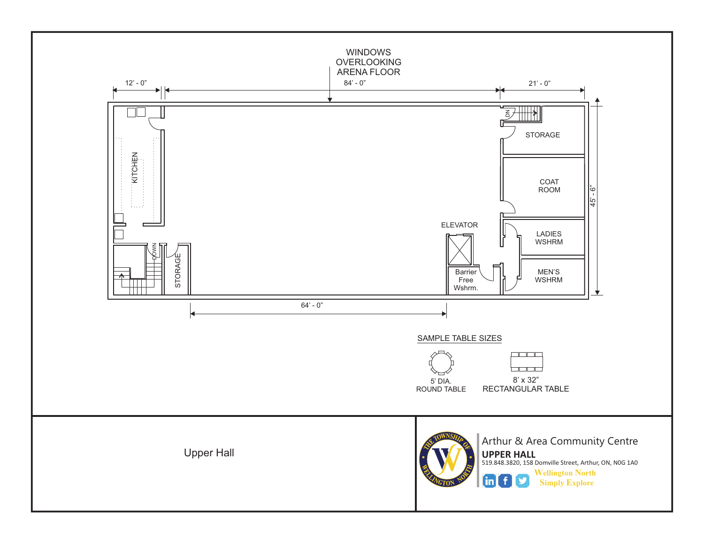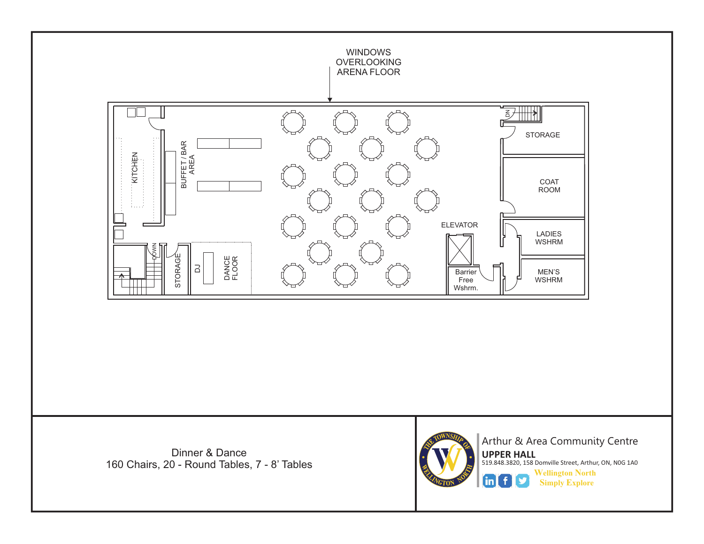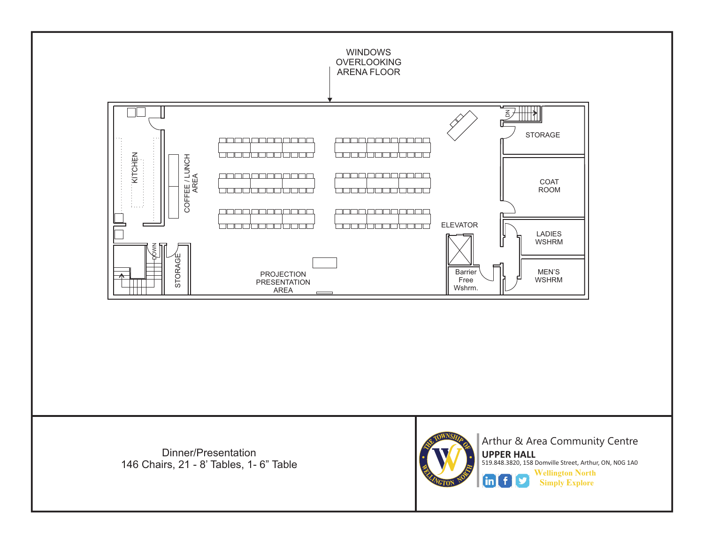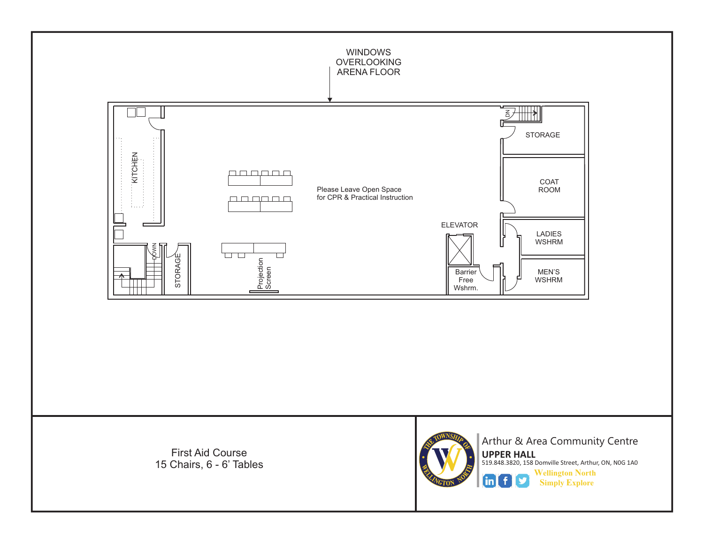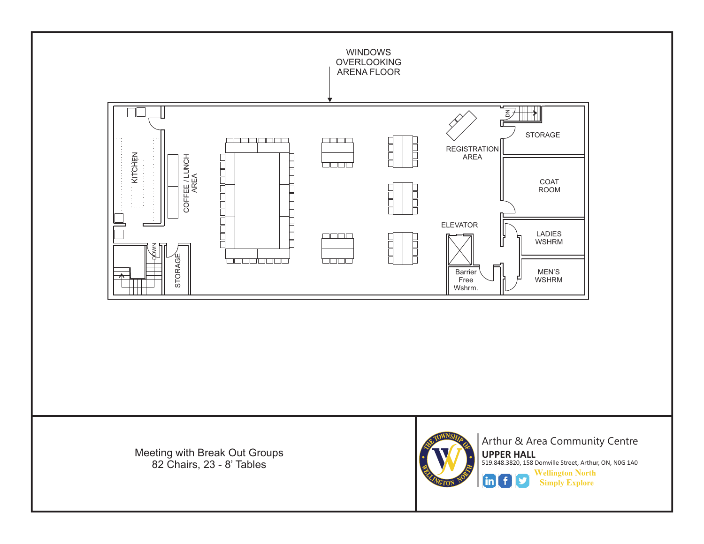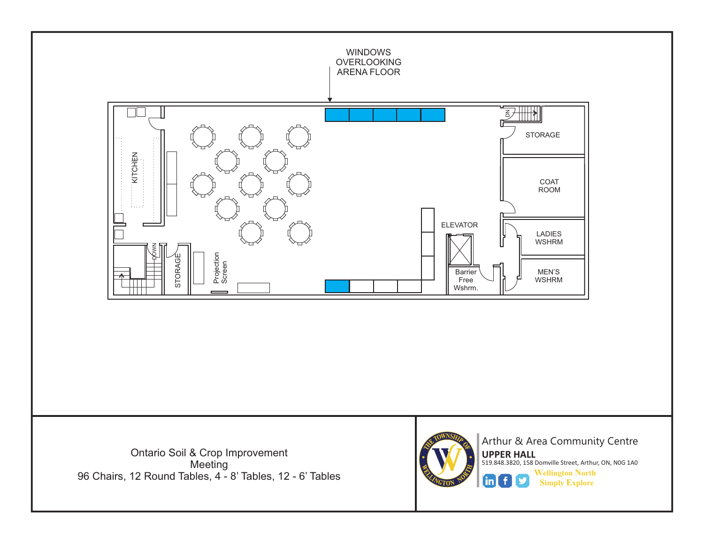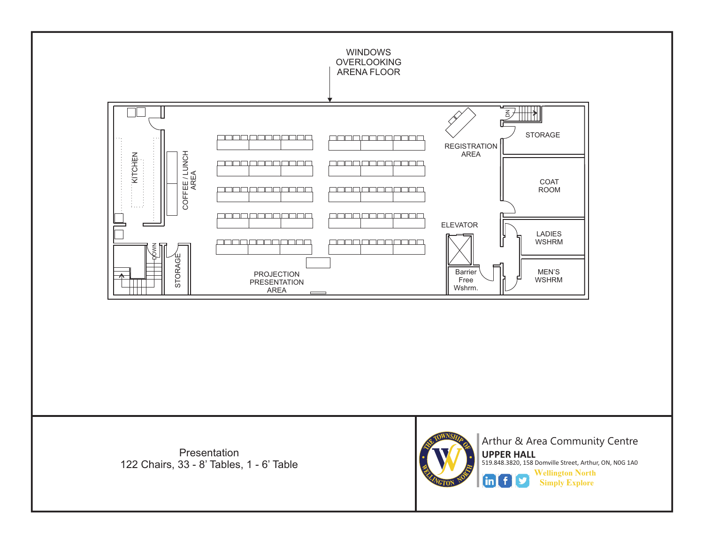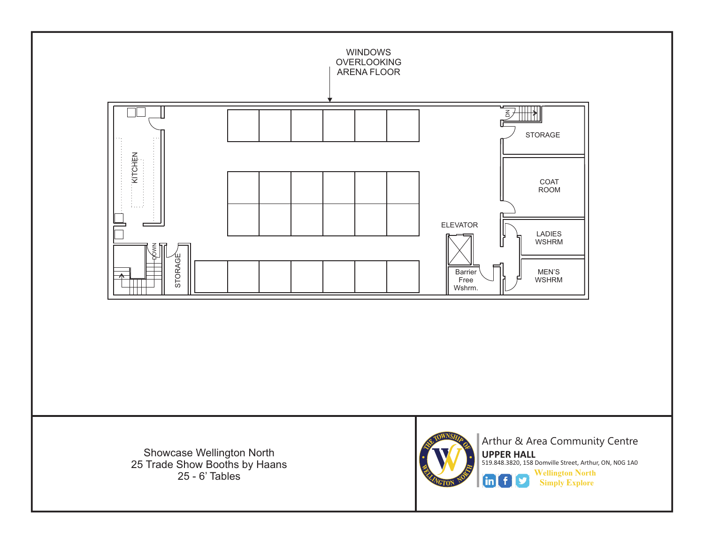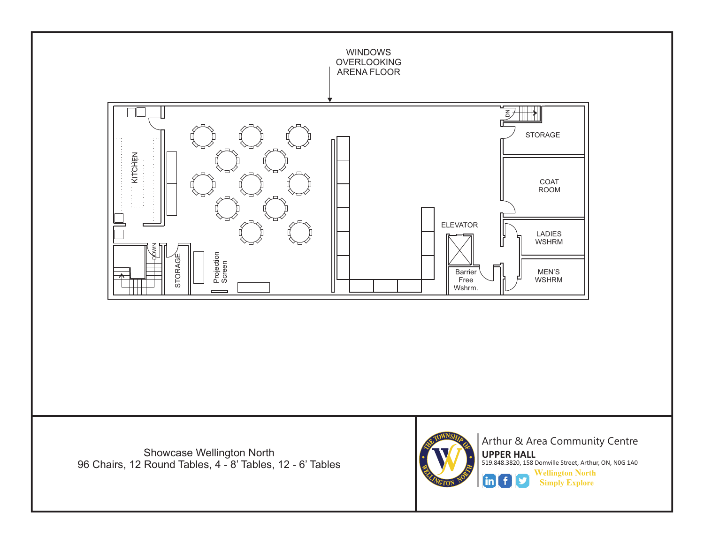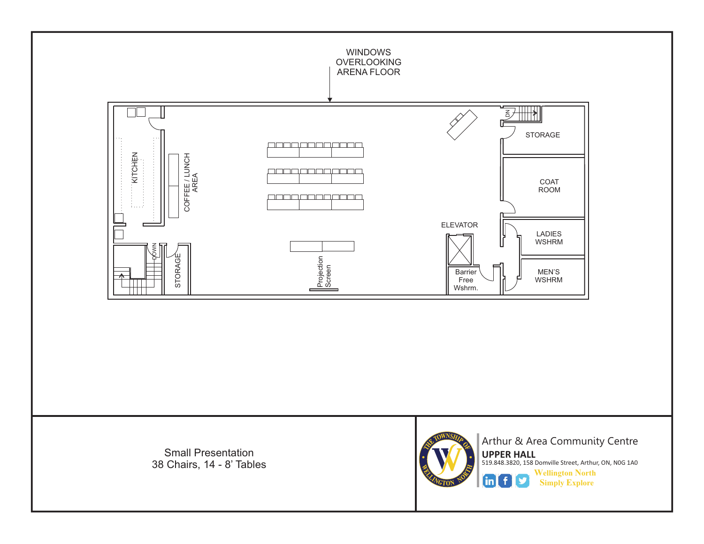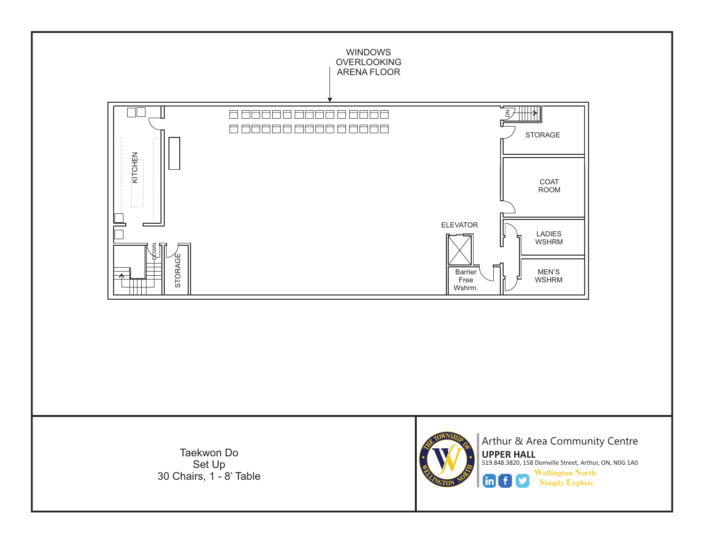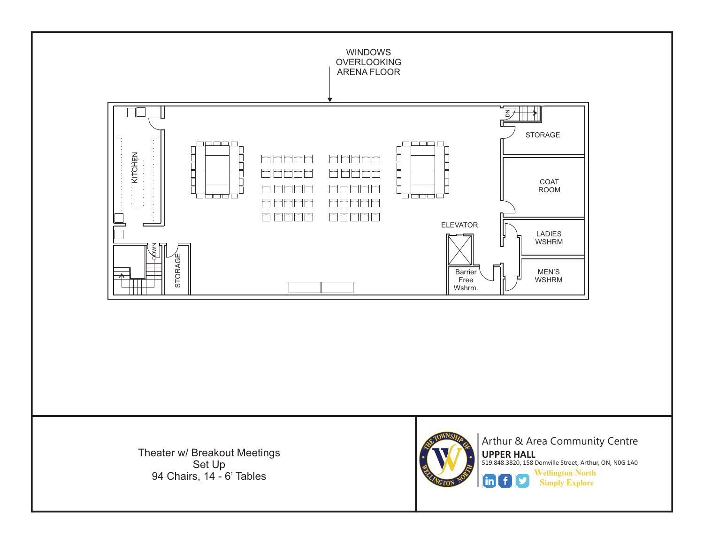